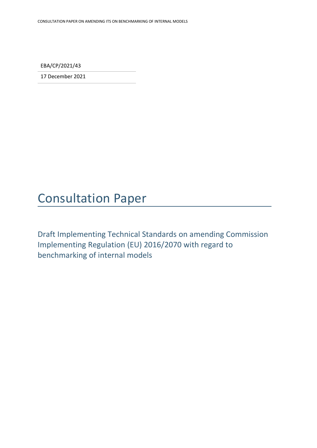EBA/CP/2021/43

17 December 2021

# Consultation Paper

Draft Implementing Technical Standards on amending Commission Implementing Regulation (EU) 2016/2070 with regard to benchmarking of internal models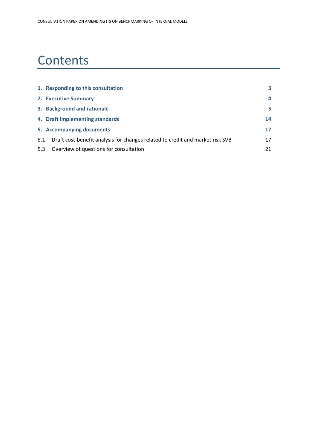# **Contents**

|     | 1. Responding to this consultation                                            | 3  |
|-----|-------------------------------------------------------------------------------|----|
|     | 2. Executive Summary                                                          | 4  |
|     | 3. Background and rationale                                                   | 5  |
|     | 4. Draft implementing standards                                               | 14 |
|     | 5. Accompanying documents                                                     | 17 |
| 5.1 | Draft cost-benefit analysis for changes related to credit and market risk SVB | 17 |
| 5.3 | Overview of questions for consultation                                        | 21 |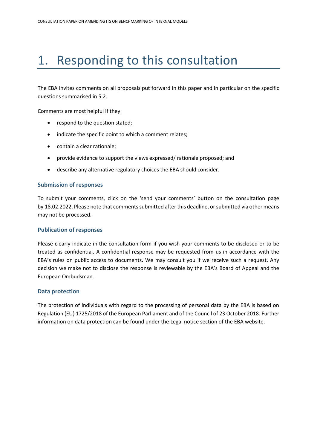# <span id="page-2-0"></span>1. Responding to this consultation

The EBA invites comments on all proposals put forward in this paper and in particular on the specific questions summarised in 5.2.

Comments are most helpful if they:

- respond to the question stated;
- indicate the specific point to which a comment relates;
- contain a clear rationale;
- provide evidence to support the views expressed/ rationale proposed; and
- describe any alternative regulatory choices the EBA should consider.

#### **Submission of responses**

To submit your comments, click on the 'send your comments' button on the consultation page by 18.02.2022. Please note that comments submitted after this deadline, or submitted via other means may not be processed.

### **Publication of responses**

Please clearly indicate in the consultation form if you wish your comments to be disclosed or to be treated as confidential. A confidential response may be requested from us in accordance with the EBA's rules on public access to documents. We may consult you if we receive such a request. Any decision we make not to disclose the response is reviewable by the EBA's Board of Appeal and the European Ombudsman.

### **Data protection**

The protection of individuals with regard to the processing of personal data by the EBA is based on Regulation (EU) 1725/2018 of the European Parliament and of the Council of 23 October 2018. Further information on data protection can be found under the [Legal notice section](http://eba.europa.eu/legal-notice) of the EBA website.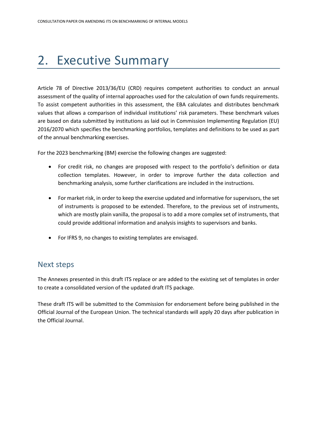# <span id="page-3-0"></span>2. Executive Summary

Article 78 of Directive 2013/36/EU (CRD) requires competent authorities to conduct an annual assessment of the quality of internal approaches used for the calculation of own funds requirements. To assist competent authorities in this assessment, the EBA calculates and distributes benchmark values that allows a comparison of individual institutions' risk parameters. These benchmark values are based on data submitted by institutions as laid out in Commission Implementing Regulation (EU) 2016/2070 which specifies the benchmarking portfolios, templates and definitions to be used as part of the annual benchmarking exercises.

For the 2023 benchmarking (BM) exercise the following changes are suggested:

- For credit risk, no changes are proposed with respect to the portfolio's definition or data collection templates. However, in order to improve further the data collection and benchmarking analysis, some further clarifications are included in the instructions.
- For market risk, in order to keep the exercise updated and informative for supervisors, the set of instruments is proposed to be extended. Therefore, to the previous set of instruments, which are mostly plain vanilla, the proposal is to add a more complex set of instruments, that could provide additional information and analysis insights to supervisors and banks.
- For IFRS 9, no changes to existing templates are envisaged.

# Next steps

The Annexes presented in this draft ITS replace or are added to the existing set of templates in order to create a consolidated version of the updated draft ITS package.

These draft ITS will be submitted to the Commission for endorsement before being published in the Official Journal of the European Union. The technical standards will apply 20 days after publication in the Official Journal.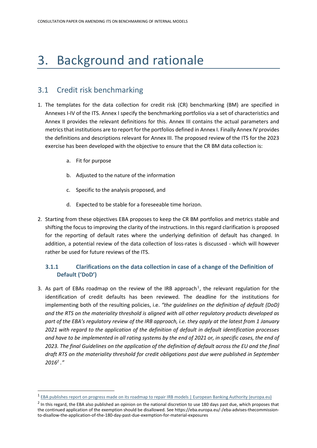# <span id="page-4-0"></span>3. Background and rationale

# 3.1 Credit risk benchmarking

- 1. The templates for the data collection for credit risk (CR) benchmarking (BM) are specified in Annexes I-IV of the ITS. Annex I specify the benchmarking portfolios via a set of characteristics and Annex II provides the relevant definitions for this. Annex III contains the actual parameters and metrics that institutions are to report for the portfolios defined in Annex I. Finally Annex IV provides the definitions and descriptions relevant for Annex III. The proposed review of the ITS for the 2023 exercise has been developed with the objective to ensure that the CR BM data collection is:
	- a. Fit for purpose
	- b. Adjusted to the nature of the information
	- c. Specific to the analysis proposed, and
	- d. Expected to be stable for a foreseeable time horizon.
- 2. Starting from these objectives EBA proposes to keep the CR BM portfolios and metrics stable and shifting the focus to improving the clarity of the instructions. In this regard clarification is proposed for the reporting of default rates where the underlying definition of default has changed. In addition, a potential review of the data collection of loss-rates is discussed - which will however rather be used for future reviews of the ITS.

# **3.1.1 Clarifications on the data collection in case of a change of the Definition of Default ('DoD')**

3. As part of EBAs roadmap on the review of the IRB approach<sup>1</sup>, the relevant regulation for the identification of credit defaults has been reviewed. The deadline for the institutions for implementing both of the resulting policies, i.e. *"the guidelines on the definition of default (DoD) and the RTS on the materiality threshold is aligned with all other regulatory products developed as part of the EBA's regulatory review of the IRB approach, i.e. they apply at the latest from 1 January 2021 with regard to the application of the definition of default in default identification processes and have to be implemented in all rating systems by the end of 2021 or, in specific cases, the end of*  2023. The final Guidelines on the application of the definition of default across the EU and the final *draft RTS on the materiality threshold for credit obligations past due were published in September 2016<sup>2</sup> ."*

<sup>&</sup>lt;sup>1</sup> [EBA publishes report on progress made on its roadmap to repair IRB models | European Banking Authority \(europa.eu\)](https://www.eba.europa.eu/eba-publishes-report-on-progress-made-on-its-roadmap-to-repair-irb-models)

 $^2$  In this regard, the EBA also published an opinion on the national discretion to use 180 days past due, which proposes that the continued application of the exemption should be disallowed. See https://eba.europa.eu/-/eba-advises-thecommissionto-disallow-the-application-of-the-180-day-past-due-exemption-for-material-exposures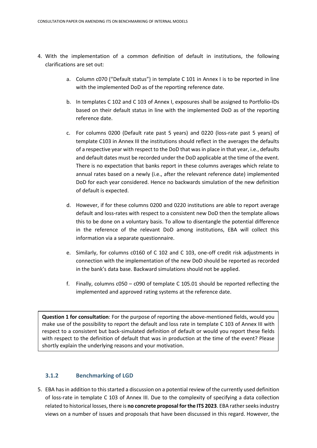- 4. With the implementation of a common definition of default in institutions, the following clarifications are set out:
	- a. Column c070 ("Default status") in template C 101 in Annex I is to be reported in line with the implemented DoD as of the reporting reference date.
	- b. In templates C 102 and C 103 of Annex I, exposures shall be assigned to Portfolio-IDs based on their default status in line with the implemented DoD as of the reporting reference date.
	- c. For columns 0200 (Default rate past 5 years) and 0220 (loss-rate past 5 years) of template C103 in Annex III the institutions should reflect in the averages the defaults of a respective year with respect to the DoD that was in place in that year, i.e., defaults and default dates must be recorded under the DoD applicable at the time of the event. There is no expectation that banks report in these columns averages which relate to annual rates based on a newly (i.e., after the relevant reference date) implemented DoD for each year considered. Hence no backwards simulation of the new definition of default is expected.
	- d. However, if for these columns 0200 and 0220 institutions are able to report average default and loss-rates with respect to a consistent new DoD then the template allows this to be done on a voluntary basis. To allow to disentangle the potential difference in the reference of the relevant DoD among institutions, EBA will collect this information via a separate questionnaire.
	- e. Similarly, for columns c0160 of C 102 and C 103, one-off credit risk adjustments in connection with the implementation of the new DoD should be reported as recorded in the bank's data base. Backward simulations should not be applied.
	- f. Finally, columns c050 c090 of template C 105.01 should be reported reflecting the implemented and approved rating systems at the reference date.

**Question 1 for consultation**: For the purpose of reporting the above-mentioned fields, would you make use of the possibility to report the default and loss rate in template C 103 of Annex III with respect to a consistent but back-simulated definition of default or would you report these fields with respect to the definition of default that was in production at the time of the event? Please shortly explain the underlying reasons and your motivation.

## **3.1.2 Benchmarking of LGD**

5. EBA has in addition to this started a discussion on a potential review of the currently used definition of loss-rate in template C 103 of Annex III. Due to the complexity of specifying a data collection related to historical losses, there is **no concrete proposal for the ITS 2023**. EBA rather seeks industry views on a number of issues and proposals that have been discussed in this regard. However, the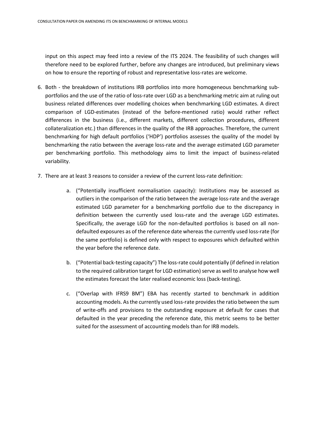input on this aspect may feed into a review of the ITS 2024. The feasibility of such changes will therefore need to be explored further, before any changes are introduced, but preliminary views on how to ensure the reporting of robust and representative loss-rates are welcome.

- 6. Both the breakdown of institutions IRB portfolios into more homogeneous benchmarking subportfolios and the use of the ratio of loss-rate over LGD as a benchmarking metric aim at ruling out business related differences over modelling choices when benchmarking LGD estimates. A direct comparison of LGD-estimates (instead of the before-mentioned ratio) would rather reflect differences in the business (i.e., different markets, different collection procedures, different collateralization etc.) than differences in the quality of the IRB approaches. Therefore, the current benchmarking for high default portfolios ('HDP') portfolios assesses the quality of the model by benchmarking the ratio between the average loss-rate and the average estimated LGD parameter per benchmarking portfolio. This methodology aims to limit the impact of business-related variability.
- 7. There are at least 3 reasons to consider a review of the current loss-rate definition:
	- a. ("Potentially insufficient normalisation capacity): Institutions may be assessed as outliers in the comparison of the ratio between the average loss-rate and the average estimated LGD parameter for a benchmarking portfolio due to the discrepancy in definition between the currently used loss-rate and the average LGD estimates. Specifically, the average LGD for the non-defaulted portfolios is based on all nondefaulted exposures as of the reference date whereas the currently used loss-rate (for the same portfolio) is defined only with respect to exposures which defaulted within the year before the reference date.
	- b. ("Potential back-testing capacity") The loss-rate could potentially (if defined in relation to the required calibration target for LGD estimation) serve as well to analyse how well the estimates forecast the later realised economic loss (back-testing).
	- c. ("Overlap with IFRS9 BM") EBA has recently started to benchmark in addition accounting models. As the currently used loss-rate provides the ratio between the sum of write-offs and provisions to the outstanding exposure at default for cases that defaulted in the year preceding the reference date, this metric seems to be better suited for the assessment of accounting models than for IRB models.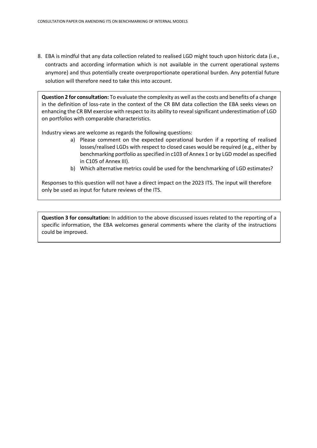8. EBA is mindful that any data collection related to realised LGD might touch upon historic data (i.e., contracts and according information which is not available in the current operational systems anymore) and thus potentially create overproportionate operational burden. Any potential future solution will therefore need to take this into account.

**Question 2 for consultation:** To evaluate the complexity as well as the costs and benefits of a change in the definition of loss-rate in the context of the CR BM data collection the EBA seeks views on enhancing the CR BM exercise with respect to its ability to reveal significant underestimation of LGD on portfolios with comparable characteristics.

Industry views are welcome as regards the following questions:

- a) Please comment on the expected operational burden if a reporting of realised losses/realised LGDs with respect to closed cases would be required (e.g., either by benchmarking portfolio as specified in c103 of Annex 1 or by LGD model as specified in C105 of Annex III).
- b) Which alternative metrics could be used for the benchmarking of LGD estimates?

Responses to this question will not have a direct impact on the 2023 ITS. The input will therefore only be used as input for future reviews of the ITS.

**Question 3 for consultation:** In addition to the above discussed issues related to the reporting of a specific information, the EBA welcomes general comments where the clarity of the instructions could be improved.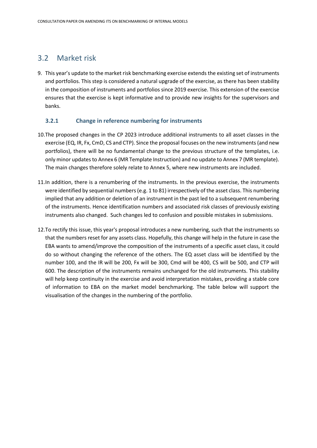# 3.2 Market risk

9. This year's update to the market risk benchmarking exercise extends the existing set of instruments and portfolios. This step is considered a natural upgrade of the exercise, as there has been stability in the composition of instruments and portfolios since 2019 exercise. This extension of the exercise ensures that the exercise is kept informative and to provide new insights for the supervisors and banks.

# **3.2.1 Change in reference numbering for instruments**

- 10.The proposed changes in the CP 2023 introduce additional instruments to all asset classes in the exercise (EQ, IR, Fx, CmD, CS and CTP). Since the proposal focuses on the new instruments (and new portfolios), there will be no fundamental change to the previous structure of the templates, i.e. only minor updates to Annex 6 (MR Template Instruction) and no update to Annex 7 (MR template). The main changes therefore solely relate to Annex 5, where new instruments are included.
- 11.In addition, there is a renumbering of the instruments. In the previous exercise, the instruments were identified by sequential numbers (e.g. 1 to 81) irrespectively of the asset class. This numbering implied that any addition or deletion of an instrument in the past led to a subsequent renumbering of the instruments. Hence identification numbers and associated risk classes of previously existing instruments also changed. Such changes led to confusion and possible mistakes in submissions.
- 12.To rectify this issue, this year's proposal introduces a new numbering, such that the instruments so that the numbers reset for any assets class. Hopefully, this change will help in the future in case the EBA wants to amend/improve the composition of the instruments of a specific asset class, it could do so without changing the reference of the others. The EQ asset class will be identified by the number 100, and the IR will be 200, Fx will be 300, Cmd will be 400, CS will be 500, and CTP will 600. The description of the instruments remains unchanged for the old instruments. This stability will help keep continuity in the exercise and avoid interpretation mistakes, providing a stable core of information to EBA on the market model benchmarking. The table below will support the visualisation of the changes in the numbering of the portfolio.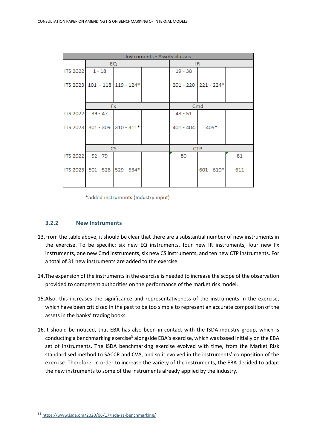| Instruments - Assets classes |                               |  |  |             |                      |     |  |  |
|------------------------------|-------------------------------|--|--|-------------|----------------------|-----|--|--|
|                              | EQ.                           |  |  | IR.         |                      |     |  |  |
| <b>ITS 2022</b>              | $1 - 18$                      |  |  | $19 - 38$   |                      |     |  |  |
|                              | ITS 2023 101 - 118 119 - 124* |  |  |             | 201 - 220 221 - 224* |     |  |  |
|                              | <b>Fx</b>                     |  |  | Cmd         |                      |     |  |  |
| <b>ITS 2022</b>              | $39 - 47$                     |  |  | $48 - 51$   |                      |     |  |  |
|                              | ITS 2023 301 - 309 310 - 311* |  |  | $401 - 404$ | 405*                 |     |  |  |
|                              | CS                            |  |  | <b>CTP</b>  |                      |     |  |  |
| <b>ITS 2022</b>              | $52 - 79$                     |  |  | 80          |                      | 81  |  |  |
|                              | ITS 2023 501 - 528 529 - 534* |  |  |             | $601 - 610*$         | 611 |  |  |

\*added instruments (Industry input)

## **3.2.2 New Instruments**

- 13.From the table above, it should be clear that there are a substantial number of new instruments in the exercise. To be specific: six new EQ instruments, four new IR instruments, four new Fx instruments, one new Cmd instruments, six new CS instruments, and ten new CTP instruments. For a total of 31 new instruments are added to the exercise.
- 14.The expansion of the instruments in the exercise is needed to increase the scope of the observation provided to competent authorities on the performance of the market risk model.
- 15.Also, this increases the significance and representativeness of the instruments in the exercise, which have been criticised in the past to be too simple to represent an accurate composition of the assets in the banks' trading books.
- 16.It should be noticed, that EBA has also been in contact with the ISDA industry group, which is conducting a benchmarking exercise<sup>3</sup> alongside EBA's exercise, which was based initially on the EBA set of instruments. The ISDA benchmarking exercise evolved with time, from the Market Risk standardised method to SACCR and CVA, and so it evolved in the instruments' composition of the exercise. Therefore, in order to increase the variety of the instruments, the EBA decided to adapt the new instruments to some of the instruments already applied by the industry.

<sup>33</sup> <https://www.isda.org/2020/06/17/isda-sa-benchmarking/>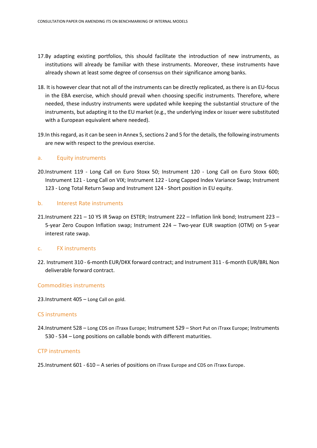- 17.By adapting existing portfolios, this should facilitate the introduction of new instruments, as institutions will already be familiar with these instruments. Moreover, these instruments have already shown at least some degree of consensus on their significance among banks.
- 18. It is however clear that not all of the instruments can be directly replicated, as there is an EU-focus in the EBA exercise, which should prevail when choosing specific instruments. Therefore, where needed, these industry instruments were updated while keeping the substantial structure of the instruments, but adapting it to the EU market (e.g., the underlying index or issuer were substituted with a European equivalent where needed).
- 19.In this regard, as it can be seen in Annex 5, sections 2 and 5 for the details, the following instruments are new with respect to the previous exercise.

### a. Equity instruments

20.Instrument 119 - Long Call on Euro Stoxx 50; Instrument 120 - Long Call on Euro Stoxx 600; Instrument 121 - Long Call on VIX; Instrument 122 - Long Capped Index Variance Swap; Instrument 123 - Long Total Return Swap and Instrument 124 - Short position in EU equity.

#### b. Interest Rate instruments

21.Instrument 221 – 10 YS IR Swap on ESTER; Instrument 222 – Inflation link bond; Instrument 223 – 5-year Zero Coupon Inflation swap; Instrument 224 – Two-year EUR swaption (OTM) on 5-year interest rate swap.

#### c. FX instruments

22. Instrument 310 - 6-month EUR/DKK forward contract; and Instrument 311 - 6-month EUR/BRL Non deliverable forward contract.

### Commodities instruments

23.Instrument 405 – Long Call on gold.

#### CS instruments

24.Instrument 528 – Long CDS on iTraxx Europe; Instrument 529 – Short Put on iTraxx Europe; Instruments 530 - 534 – Long positions on callable bonds with different maturities.

#### CTP instruments

25.Instrument 601 - 610 – A series of positions on iTraxx Europe and CDS on iTraxx Europe.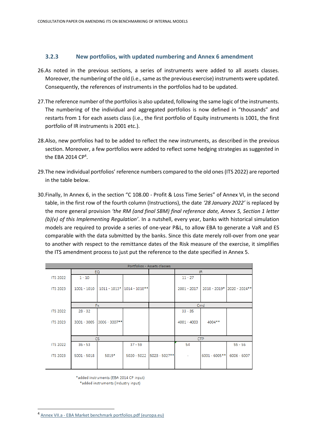### **3.2.3 New portfolios, with updated numbering and Annex 6 amendment**

- 26.As noted in the previous sections, a series of instruments were added to all assets classes. Moreover, the numbering of the old (i.e., same as the previous exercise) instruments were updated. Consequently, the references of instruments in the portfolios had to be updated.
- 27.The reference number of the portfolios is also updated, following the same logic of the instruments. The numbering of the individual and aggregated portfolios is now defined in "thousands" and restarts from 1 for each assets class (i.e., the first portfolio of Equity instruments is 1001, the first portfolio of IR instruments is 2001 etc.).
- 28.Also, new portfolios had to be added to reflect the new instruments, as described in the previous section. Moreover, a few portfolios were added to reflect some hedging strategies as suggested in the EBA 2014  $CP<sup>4</sup>$ .
- 29.The new individual portfolios' reference numbers compared to the old ones (ITS 2022) are reported in the table below.
- 30.Finally, In Annex 6, in the section "C 108.00 Profit & Loss Time Series" of Annex VI, in the second table, in the first row of the fourth column (Instructions), the date *'28 January 2022'* is replaced by the more general provision *'the RM (and final SBM) final reference date, Annex 5, Section 1 letter (b)(v) of this Implementing Regulation'*. In a nutshell, every year, banks with historical simulation models are required to provide a series of one-year P&L, to allow EBA to generate a VaR and ES comparable with the data submitted by the banks. Since this date merely roll-over from one year to another with respect to the remittance dates of the Risk measure of the exercise, it simplifies the ITS amendment process to just put the reference to the date specified in Annex 5.

| Portfolios - Assets classes |               |               |                            |                 |               |                |                            |  |  |
|-----------------------------|---------------|---------------|----------------------------|-----------------|---------------|----------------|----------------------------|--|--|
|                             | EQ.           |               |                            |                 | IR.           |                |                            |  |  |
| <b>ITS 2022</b>             | $1 - 10$      |               |                            |                 | $11 - 27$     |                |                            |  |  |
| <b>ITS 2023</b>             | $1001 - 1010$ |               | 1011 - 1013* 1014 - 1018** |                 | $2001 - 2017$ |                | 2018 - 2019* 2020 - 2024** |  |  |
|                             |               |               |                            |                 |               |                |                            |  |  |
|                             | <b>Fx</b>     |               |                            |                 | Cmd           |                |                            |  |  |
| <b>ITS 2022</b>             | $28 - 32$     |               |                            |                 | $33 - 35$     |                |                            |  |  |
| <b>ITS 2023</b>             | $3001 - 3005$ | 3006 - 3007** |                            |                 | $4001 - 4003$ | 4004**         |                            |  |  |
|                             | CS.           |               |                            |                 |               | <b>CTP</b>     |                            |  |  |
| <b>ITS 2022</b>             | $36 - 53$     |               | $37 - 59$                  |                 | 54            |                | $55 - 56$                  |  |  |
| <b>ITS 2023</b>             | $5001 - 5018$ | 5019*         | $5020 - 5022$              | $5023 - 5027**$ |               | 6001 - 6005 ** | $6006 - 6007$              |  |  |

\*added instruments (EBA 2014 CP input)

\*added instruments (Industry input)

<sup>4</sup> Annex VII.a - [EBA Market benchmark portfolios.pdf \(europa.eu\)](https://www.eba.europa.eu/sites/default/documents/files/documents/10180/711669/cb7b68bf-acd8-4388-a312-bcdc7fdce0b4/Annex%20VII.a%20-%20EBA%20Market%20benchmark%20portfolios.pdf?retry=1)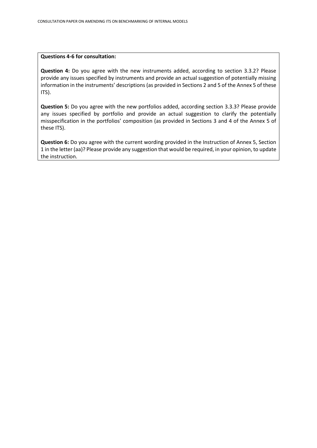#### **Questions 4-6 for consultation:**

**Question 4:** Do you agree with the new instruments added, according to section 3.3.2? Please provide any issues specified by instruments and provide an actual suggestion of potentially missing information in the instruments' descriptions (as provided in Sections 2 and 5 of the Annex 5 of these ITS).

**Question 5:** Do you agree with the new portfolios added, according section 3.3.3? Please provide any issues specified by portfolio and provide an actual suggestion to clarify the potentially misspecification in the portfolios' composition (as provided in Sections 3 and 4 of the Annex 5 of these ITS).

**Question 6:** Do you agree with the current wording provided in the Instruction of Annex 5, Section 1 in the letter (aa)? Please provide any suggestion that would be required, in your opinion, to update the instruction.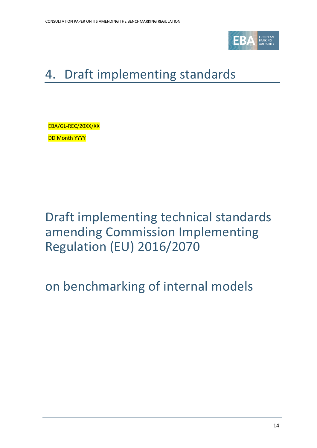

# <span id="page-13-0"></span>4. Draft implementing standards

EBA/GL-REC/20XX/XX

**DD Month YYYY** 

Draft implementing technical standards amending Commission Implementing Regulation (EU) 2016/2070

# on benchmarking of internal models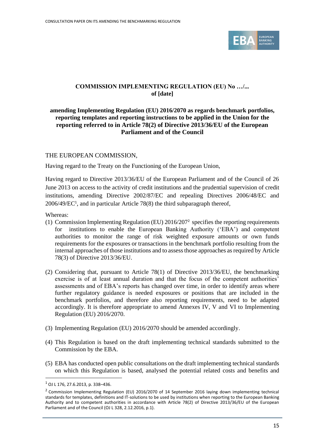

# **COMMISSION IMPLEMENTING REGULATION (EU) No …/... of [date]**

# **amending Implementing Regulation (EU) 2016/2070 as regards benchmark portfolios, reporting templates and reporting instructions to be applied in the Union for the reporting referred to in Article 78(2) of Directive 2013/36/EU of the European Parliament and of the Council**

## THE EUROPEAN COMMISSION,

Having regard to the Treaty on the Functioning of the European Union,

Having regard to Directive 2013/36/EU of the European Parliament and of the Council of 26 June 2013 on access to the activity of credit institutions and the prudential supervision of credit institutions, amending Directive 2002/87/EC and repealing Directives 2006/48/EC and 2006/49/EC<sup>1</sup> , and in particular Article 78(8) the third subparagraph thereof,

Whereas:

- (1) Commission Implementing Regulation (EU) 2016/207<sup>2</sup> specifies the reporting requirements for institutions to enable the European Banking Authority ('EBA') and competent authorities to monitor the range of risk weighted exposure amounts or own funds requirements for the exposures or transactions in the benchmark portfolio resulting from the internal approaches of those institutions and to assess those approaches as required by Article 78(3) of Directive 2013/36/EU.
- (2) Considering that, pursuant to Article 78(1) of Directive 2013/36/EU, the benchmarking exercise is of at least annual duration and that the focus of the competent authorities' assessments and of EBA's reports has changed over time, in order to identify areas where further regulatory guidance is needed exposures or positions that are included in the benchmark portfolios, and therefore also reporting requirements, need to be adapted accordingly. It is therefore appropriate to amend Annexes IV, V and VI to Implementing Regulation (EU) 2016/2070.
- (3) Implementing Regulation (EU) 2016/2070 should be amended accordingly.
- (4) This Regulation is based on the draft implementing technical standards submitted to the Commission by the EBA.
- (5) EBA has conducted open public consultations on the draft implementing technical standards on which this Regulation is based, analysed the potential related costs and benefits and

 $1$  OJ L 176, 27.6.2013, p. 338-436.

<sup>&</sup>lt;sup>2</sup> Commission Implementing Regulation (EU) 2016/2070 of 14 September 2016 laying down implementing technical standards for templates, definitions and IT-solutions to be used by institutions when reporting to the European Banking Authority and to competent authorities in accordance with Article 78(2) of Directive 2013/36/EU of the European Parliament and of the Council (OJ L 328, 2.12.2016, p.1).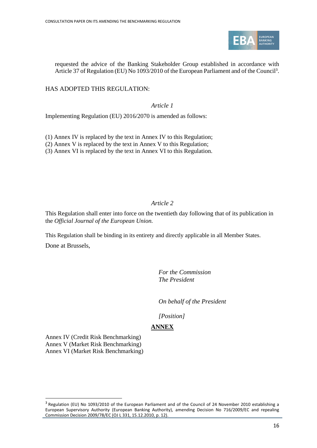

requested the advice of the Banking Stakeholder Group established in accordance with Article 37 of Regulation (EU) No 1093/2010 of the European Parliament and of the Council<sup>3</sup>.

# HAS ADOPTED THIS REGULATION:

*Article 1*

Implementing Regulation (EU) 2016/2070 is amended as follows:

(1) Annex IV is replaced by the text in Annex IV to this Regulation;

(2) Annex V is replaced by the text in Annex V to this Regulation;

(3) Annex VI is replaced by the text in Annex VI to this Regulation.

# *Article 2*

This Regulation shall enter into force on the twentieth day following that of its publication in the *Official Journal of the European Union.* 

This Regulation shall be binding in its entirety and directly applicable in all Member States. Done at Brussels,

> *For the Commission The President*

*On behalf of the President*

*[Position]*

# **ANNEX**

Annex IV (Credit Risk Benchmarking) Annex V (Market Risk Benchmarking) Annex VI (Market Risk Benchmarking)

<sup>&</sup>lt;sup>3</sup> Regulation (EU) No 1093/2010 of the European Parliament and of the Council of 24 November 2010 establishing a European Supervisory Authority (European Banking Authority), amending Decision No 716/2009/EC and repealing Commission Decision 2009/78/EC (OJ L 331, 15.12.2010, p. 12).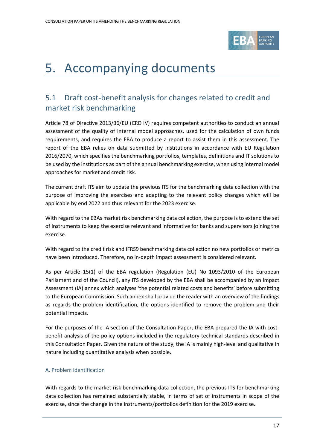

# <span id="page-16-0"></span>5. Accompanying documents

# <span id="page-16-1"></span>5.1 Draft cost-benefit analysis for changes related to credit and market risk benchmarking

Article 78 of Directive 2013/36/EU (CRD IV) requires competent authorities to conduct an annual assessment of the quality of internal model approaches, used for the calculation of own funds requirements, and requires the EBA to produce a report to assist them in this assessment. The report of the EBA relies on data submitted by institutions in accordance with EU Regulation 2016/2070, which specifies the benchmarking portfolios, templates, definitions and IT solutions to be used by the institutions as part of the annual benchmarking exercise, when using internal model approaches for market and credit risk.

The current draft ITS aim to update the previous ITS for the benchmarking data collection with the purpose of improving the exercises and adapting to the relevant policy changes which will be applicable by end 2022 and thus relevant for the 2023 exercise.

With regard to the EBAs market risk benchmarking data collection, the purpose is to extend the set of instruments to keep the exercise relevant and informative for banks and supervisors joining the exercise.

With regard to the credit risk and IFRS9 benchmarking data collection no new portfolios or metrics have been introduced. Therefore, no in-depth impact assessment is considered relevant.

As per Article 15(1) of the EBA regulation (Regulation (EU) No 1093/2010 of the European Parliament and of the Council), any ITS developed by the EBA shall be accompanied by an Impact Assessment (IA) annex which analyses 'the potential related costs and benefits' before submitting to the European Commission. Such annex shall provide the reader with an overview of the findings as regards the problem identification, the options identified to remove the problem and their potential impacts.

For the purposes of the IA section of the Consultation Paper, the EBA prepared the IA with costbenefit analysis of the policy options included in the regulatory technical standards described in this Consultation Paper. Given the nature of the study, the IA is mainly high-level and qualitative in nature including quantitative analysis when possible.

# A. Problem identification

With regards to the market risk benchmarking data collection, the previous ITS for benchmarking data collection has remained substantially stable, in terms of set of instruments in scope of the exercise, since the change in the instruments/portfolios definition for the 2019 exercise.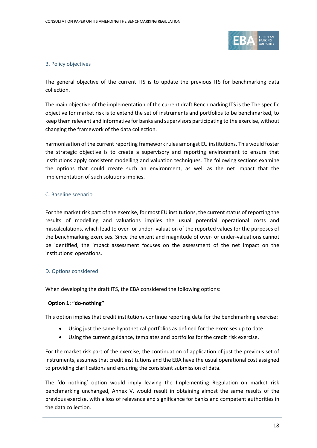

### B. Policy objectives

The general objective of the current ITS is to update the previous ITS for benchmarking data collection.

The main objective of the implementation of the current draft Benchmarking ITS is the The specific objective for market risk is to extend the set of instruments and portfolios to be benchmarked, to keep them relevant and informative for banks and supervisors participating to the exercise, without changing the framework of the data collection.

harmonisation of the current reporting framework rules amongst EU institutions. This would foster the strategic objective is to create a supervisory and reporting environment to ensure that institutions apply consistent modelling and valuation techniques. The following sections examine the options that could create such an environment, as well as the net impact that the implementation of such solutions implies.

### C. Baseline scenario

For the market risk part of the exercise, for most EU institutions, the current status of reporting the results of modelling and valuations implies the usual potential operational costs and miscalculations, which lead to over- or under- valuation of the reported values for the purposes of the benchmarking exercises. Since the extent and magnitude of over- or under-valuations cannot be identified, the impact assessment focuses on the assessment of the net impact on the institutions' operations.

### D. Options considered

When developing the draft ITS, the EBA considered the following options:

### **Option 1: "do-nothing"**

This option implies that credit institutions continue reporting data for the benchmarking exercise:

- Using just the same hypothetical portfolios as defined for the exercises up to date.
- Using the current guidance, templates and portfolios for the credit risk exercise.

For the market risk part of the exercise, the continuation of application of just the previous set of instruments, assumes that credit institutions and the EBA have the usual operational cost assigned to providing clarifications and ensuring the consistent submission of data.

The 'do nothing' option would imply leaving the Implementing Regulation on market risk benchmarking unchanged, Annex V, would result in obtaining almost the same results of the previous exercise, with a loss of relevance and significance for banks and competent authorities in the data collection.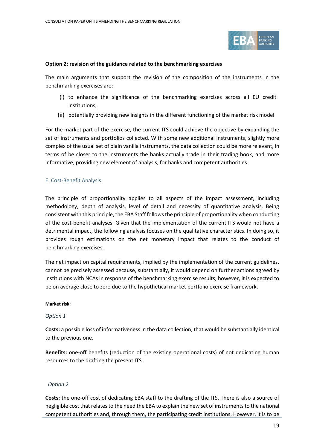

#### **Option 2: revision of the guidance related to the benchmarking exercises**

The main arguments that support the revision of the composition of the instruments in the benchmarking exercises are:

- (i) to enhance the significance of the benchmarking exercises across all EU credit institutions,
- (ii) potentially providing new insights in the different functioning of the market risk model

For the market part of the exercise, the current ITS could achieve the objective by expanding the set of instruments and portfolios collected. With some new additional instruments, slightly more complex of the usual set of plain vanilla instruments, the data collection could be more relevant, in terms of be closer to the instruments the banks actually trade in their trading book, and more informative, providing new element of analysis, for banks and competent authorities.

### E. Cost-Benefit Analysis

The principle of proportionality applies to all aspects of the impact assessment, including methodology, depth of analysis, level of detail and necessity of quantitative analysis. Being consistent with this principle, the EBA Staff follows the principle of proportionality when conducting of the cost-benefit analyses. Given that the implementation of the current ITS would not have a detrimental impact, the following analysis focuses on the qualitative characteristics. In doing so, it provides rough estimations on the net monetary impact that relates to the conduct of benchmarking exercises.

The net impact on capital requirements, implied by the implementation of the current guidelines, cannot be precisely assessed because, substantially, it would depend on further actions agreed by institutions with NCAs in response of the benchmarking exercise results; however, it is expected to be on average close to zero due to the hypothetical market portfolio exercise framework.

#### **Market risk:**

### *Option 1*

**Costs:** a possible loss of informativeness in the data collection, that would be substantially identical to the previous one.

**Benefits:** one-off benefits (reduction of the existing operational costs) of not dedicating human resources to the drafting the present ITS.

### *Option 2*

**Costs:** the one-off cost of dedicating EBA staff to the drafting of the ITS. There is also a source of negligible cost that relates to the need the EBA to explain the new set of instruments to the national competent authorities and, through them, the participating credit institutions. However, it is to be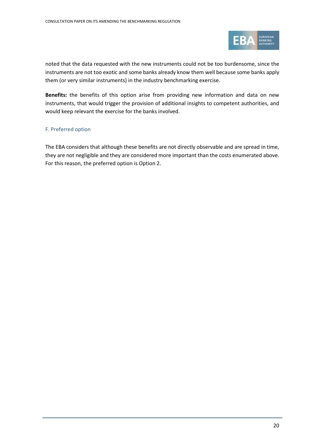

noted that the data requested with the new instruments could not be too burdensome, since the instruments are not too exotic and some banks already know them well because some banks apply them (or very similar instruments) in the industry benchmarking exercise.

**Benefits:** the benefits of this option arise from providing new information and data on new instruments, that would trigger the provision of additional insights to competent authorities, and would keep relevant the exercise for the banks involved.

## F. Preferred option

The EBA considers that although these benefits are not directly observable and are spread in time, they are not negligible and they are considered more important than the costs enumerated above. For this reason, the preferred option is Option 2.